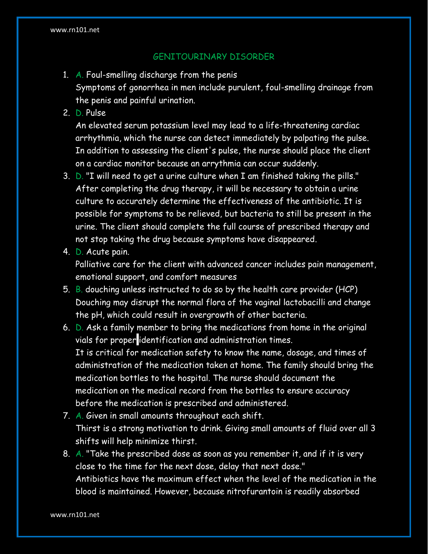## GENITOURINARY DISORDER

- 1. A. Foul-smelling discharge from the penis Symptoms of gonorrhea in men include purulent, foul-smelling drainage from the penis and painful urination.
- 2. D. Pulse

An elevated serum potassium level may lead to a life-threatening cardiac arrhythmia, which the nurse can detect immediately by palpating the pulse. In addition to assessing the client's pulse, the nurse should place the client on a cardiac monitor because an arrythmia can occur suddenly.

- 3. D. "I will need to get a urine culture when I am finished taking the pills." After completing the drug therapy, it will be necessary to obtain a urine culture to accurately determine the effectiveness of the antibiotic. It is possible for symptoms to be relieved, but bacteria to still be present in the urine. The client should complete the full course of prescribed therapy and not stop taking the drug because symptoms have disappeared.
- 4. D. Acute pain.

Palliative care for the client with advanced cancer includes pain management, emotional support, and comfort measures

- 5. B. douching unless instructed to do so by the health care provider (HCP) Douching may disrupt the normal flora of the vaginal lactobacilli and change the pH, which could result in overgrowth of other bacteria.
- 6. D. Ask a family member to bring the medications from home in the original vials for proper identification and administration times. It is critical for medication safety to know the name, dosage, and times of administration of the medication taken at home. The family should bring the medication bottles to the hospital. The nurse should document the medication on the medical record from the bottles to ensure accuracy before the medication is prescribed and administered.
- 7. A. Given in small amounts throughout each shift. Thirst is a strong motivation to drink. Giving small amounts of fluid over all 3 shifts will help minimize thirst.
- 8. A. "Take the prescribed dose as soon as you remember it, and if it is very close to the time for the next dose, delay that next dose." Antibiotics have the maximum effect when the level of the medication in the blood is maintained. However, because nitrofurantoin is readily absorbed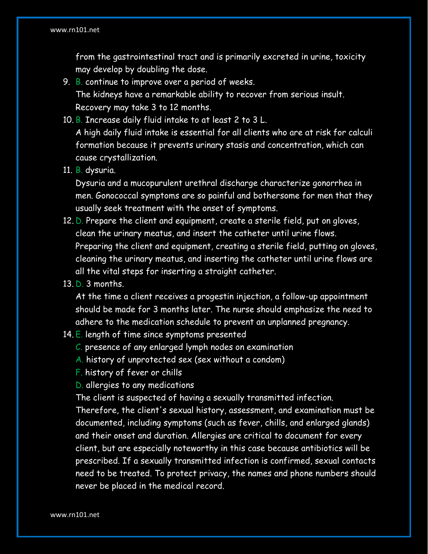from the gastrointestinal tract and is primarily excreted in urine, toxicity may develop by doubling the dose.

- 9. B. continue to improve over a period of weeks. The kidneys have a remarkable ability to recover from serious insult. Recovery may take 3 to 12 months.
- 10. B. Increase daily fluid intake to at least 2 to 3 L.

A high daily fluid intake is essential for all clients who are at risk for calculi formation because it prevents urinary stasis and concentration, which can cause crystallization.

11. B. dysuria.

Dysuria and a mucopurulent urethral discharge characterize gonorrhea in men. Gonococcal symptoms are so painful and bothersome for men that they usually seek treatment with the onset of symptoms.

- 12. D. Prepare the client and equipment, create a sterile field, put on gloves, clean the urinary meatus, and insert the catheter until urine flows. Preparing the client and equipment, creating a sterile field, putting on gloves, cleaning the urinary meatus, and inserting the catheter until urine flows are all the vital steps for inserting a straight catheter.
- 13. D. 3 months.

At the time a client receives a progestin injection, a follow-up appointment should be made for 3 months later. The nurse should emphasize the need to adhere to the medication schedule to prevent an unplanned pregnancy.

- 14.  $E$ . length of time since symptoms presented
	- C. presence of any enlarged lymph nodes on examination
	- A. history of unprotected sex (sex without a condom)
	- F. history of fever or chills
	- D. allergies to any medications

The client is suspected of having a sexually transmitted infection.

Therefore, the client's sexual history, assessment, and examination must be documented, including symptoms (such as fever, chills, and enlarged glands) and their onset and duration. Allergies are critical to document for every client, but are especially noteworthy in this case because antibiotics will be prescribed. If a sexually transmitted infection is confirmed, sexual contacts need to be treated. To protect privacy, the names and phone numbers should never be placed in the medical record.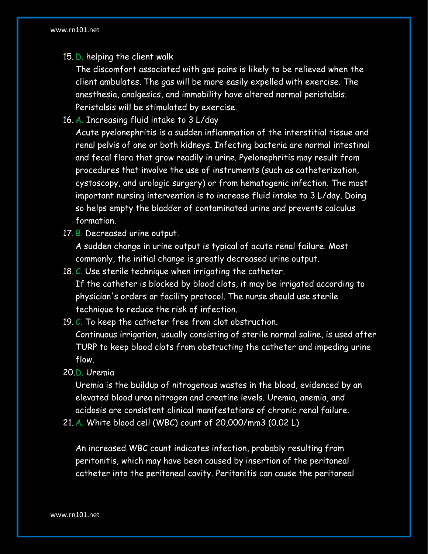15. D. helping the client walk

The discomfort associated with gas pains is likely to be relieved when the client ambulates. The gas will be more easily expelled with exercise. The anesthesia, analgesics, and immobility have altered normal peristalsis. Peristalsis will be stimulated by exercise.

16. A. Increasing fluid intake to 3 L/day

Acute pyelonephritis is a sudden inflammation of the interstitial tissue and renal pelvis of one or both kidneys. Infecting bacteria are normal intestinal and fecal flora that grow readily in urine. Pyelonephritis may result from procedures that involve the use of instruments (such as catheterization, cystoscopy, and urologic surgery) or from hematogenic infection. The most important nursing intervention is to increase fluid intake to 3 L/day. Doing so helps empty the bladder of contaminated urine and prevents calculus formation.

17. B. Decreased urine output.

A sudden change in urine output is typical of acute renal failure. Most commonly, the initial change is greatly decreased urine output.

- 18. C. Use sterile technique when irrigating the catheter. If the catheter is blocked by blood clots, it may be irrigated according to physician's orders or facility protocol. The nurse should use sterile technique to reduce the risk of infection.
- 19. C. To keep the catheter free from clot obstruction. Continuous irrigation, usually consisting of sterile normal saline, is used after TURP to keep blood clots from obstructing the catheter and impeding urine flow.

20.D. Uremia

Uremia is the buildup of nitrogenous wastes in the blood, evidenced by an elevated blood urea nitrogen and creatine levels. Uremia, anemia, and acidosis are consistent clinical manifestations of chronic renal failure.

21. A. White blood cell (WBC) count of 20,000/mm3 (0.02 L)

An increased WBC count indicates infection, probably resulting from peritonitis, which may have been caused by insertion of the peritoneal catheter into the peritoneal cavity. Peritonitis can cause the peritoneal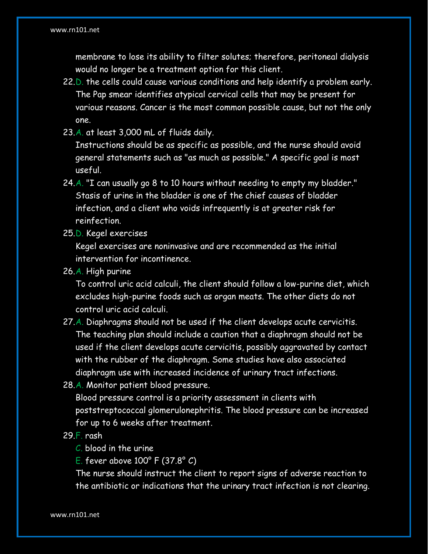membrane to lose its ability to filter solutes; therefore, peritoneal dialysis would no longer be a treatment option for this client.

- 22.D. the cells could cause various conditions and help identify a problem early. The Pap smear identifies atypical cervical cells that may be present for various reasons. Cancer is the most common possible cause, but not the only one.
- 23.A. at least 3,000 mL of fluids daily.

Instructions should be as specific as possible, and the nurse should avoid general statements such as "as much as possible." A specific goal is most useful.

- 24.A. "I can usually go 8 to 10 hours without needing to empty my bladder." Stasis of urine in the bladder is one of the chief causes of bladder infection, and a client who voids infrequently is at greater risk for reinfection.
- 25.D. Kegel exercises

Kegel exercises are noninvasive and are recommended as the initial intervention for incontinence.

26.A. High purine

To control uric acid calculi, the client should follow a low-purine diet, which excludes high-purine foods such as organ meats. The other diets do not control uric acid calculi.

- 27.A. Diaphragms should not be used if the client develops acute cervicitis. The teaching plan should include a caution that a diaphragm should not be used if the client develops acute cervicitis, possibly aggravated by contact with the rubber of the diaphragm. Some studies have also associated diaphragm use with increased incidence of urinary tract infections.
- 28.A. Monitor patient blood pressure.

Blood pressure control is a priority assessment in clients with poststreptococcal glomerulonephritis. The blood pressure can be increased for up to 6 weeks after treatment.

## 29.F. rash

- C. blood in the urine
- E. fever above 100° F (37.8° C)

The nurse should instruct the client to report signs of adverse reaction to the antibiotic or indications that the urinary tract infection is not clearing.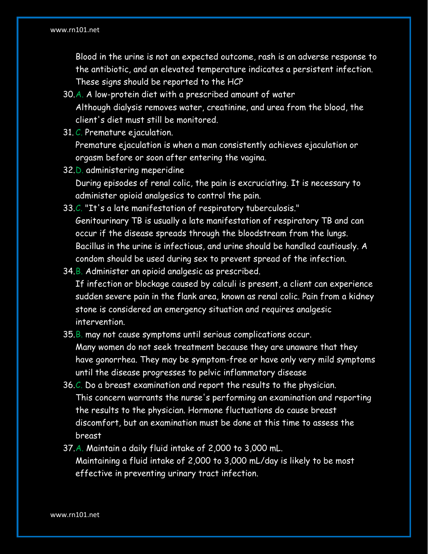## www.rn101.net

Blood in the urine is not an expected outcome, rash is an adverse response to the antibiotic, and an elevated temperature indicates a persistent infection. These signs should be reported to the HCP

- 30.A. A low-protein diet with a prescribed amount of water Although dialysis removes water, creatinine, and urea from the blood, the client's diet must still be monitored.
- 31. C. Premature ejaculation.

Premature ejaculation is when a man consistently achieves ejaculation or orgasm before or soon after entering the vagina.

- 32.D. administering meperidine During episodes of renal colic, the pain is excruciating. It is necessary to administer opioid analgesics to control the pain.
- 33.C. "It's a late manifestation of respiratory tuberculosis." Genitourinary TB is usually a late manifestation of respiratory TB and can occur if the disease spreads through the bloodstream from the lungs. Bacillus in the urine is infectious, and urine should be handled cautiously. A condom should be used during sex to prevent spread of the infection.
- 34.B. Administer an opioid analgesic as prescribed. If infection or blockage caused by calculi is present, a client can experience sudden severe pain in the flank area, known as renal colic. Pain from a kidney stone is considered an emergency situation and requires analgesic intervention.
- 35.B. may not cause symptoms until serious complications occur. Many women do not seek treatment because they are unaware that they have gonorrhea. They may be symptom-free or have only very mild symptoms until the disease progresses to pelvic inflammatory disease
- 36.C. Do a breast examination and report the results to the physician. This concern warrants the nurse's performing an examination and reporting the results to the physician. Hormone fluctuations do cause breast discomfort, but an examination must be done at this time to assess the breast
- 37.A. Maintain a daily fluid intake of 2,000 to 3,000 mL. Maintaining a fluid intake of 2,000 to 3,000 mL/day is likely to be most effective in preventing urinary tract infection.